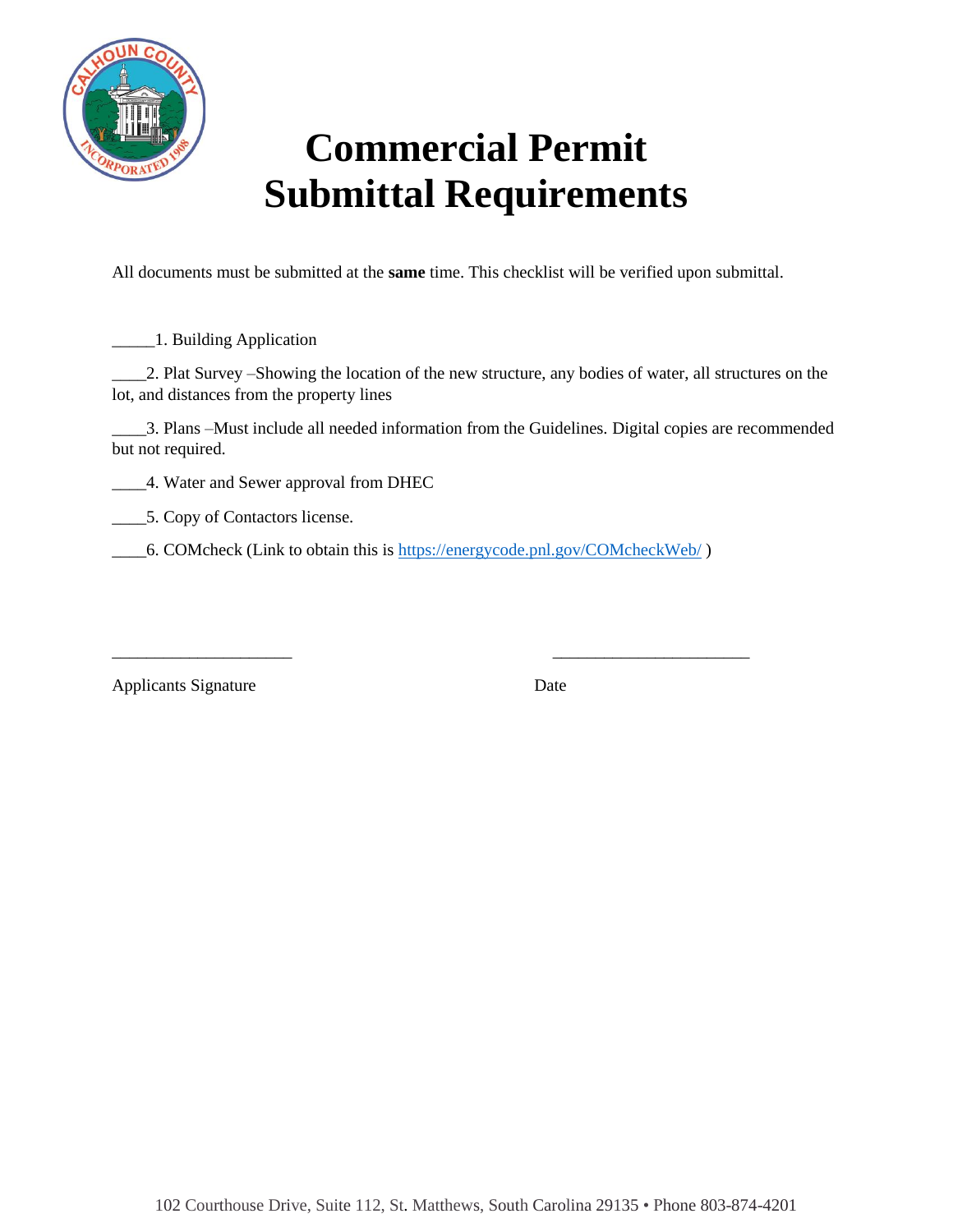

## **Commercial Permit Submittal Requirements**

All documents must be submitted at the **same** time. This checklist will be verified upon submittal.

\_\_\_\_\_1. Building Application

\_\_\_\_2. Plat Survey –Showing the location of the new structure, any bodies of water, all structures on the lot, and distances from the property lines

\_\_\_\_3. Plans –Must include all needed information from the Guidelines. Digital copies are recommended but not required.

\_\_\_\_4. Water and Sewer approval from DHEC

\_\_\_\_5. Copy of Contactors license.

\_\_\_\_6. COMcheck (Link to obtain this is<https://energycode.pnl.gov/COMcheckWeb/>)

\_\_\_\_\_\_\_\_\_\_\_\_\_\_\_\_\_\_\_\_\_ \_\_\_\_\_\_\_\_\_\_\_\_\_\_\_\_\_\_\_\_\_\_\_

Applicants Signature Date